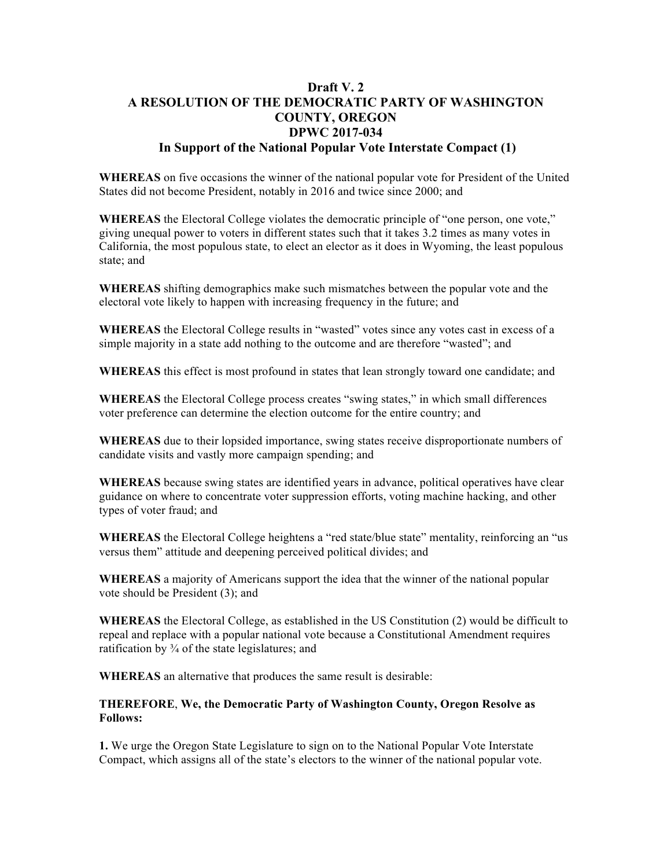## **Draft V. 2 A RESOLUTION OF THE DEMOCRATIC PARTY OF WASHINGTON COUNTY, OREGON DPWC 2017-034 In Support of the National Popular Vote Interstate Compact (1)**

**WHEREAS** on five occasions the winner of the national popular vote for President of the United States did not become President, notably in 2016 and twice since 2000; and

**WHEREAS** the Electoral College violates the democratic principle of "one person, one vote," giving unequal power to voters in different states such that it takes 3.2 times as many votes in California, the most populous state, to elect an elector as it does in Wyoming, the least populous state; and

**WHEREAS** shifting demographics make such mismatches between the popular vote and the electoral vote likely to happen with increasing frequency in the future; and

**WHEREAS** the Electoral College results in "wasted" votes since any votes cast in excess of a simple majority in a state add nothing to the outcome and are therefore "wasted"; and

**WHEREAS** this effect is most profound in states that lean strongly toward one candidate; and

**WHEREAS** the Electoral College process creates "swing states," in which small differences voter preference can determine the election outcome for the entire country; and

**WHEREAS** due to their lopsided importance, swing states receive disproportionate numbers of candidate visits and vastly more campaign spending; and

**WHEREAS** because swing states are identified years in advance, political operatives have clear guidance on where to concentrate voter suppression efforts, voting machine hacking, and other types of voter fraud; and

**WHEREAS** the Electoral College heightens a "red state/blue state" mentality, reinforcing an "us versus them" attitude and deepening perceived political divides; and

**WHEREAS** a majority of Americans support the idea that the winner of the national popular vote should be President (3); and

**WHEREAS** the Electoral College, as established in the US Constitution (2) would be difficult to repeal and replace with a popular national vote because a Constitutional Amendment requires ratification by ¾ of the state legislatures; and

**WHEREAS** an alternative that produces the same result is desirable:

**THEREFORE**, **We, the Democratic Party of Washington County, Oregon Resolve as Follows:**

**1.** We urge the Oregon State Legislature to sign on to the National Popular Vote Interstate Compact, which assigns all of the state's electors to the winner of the national popular vote.